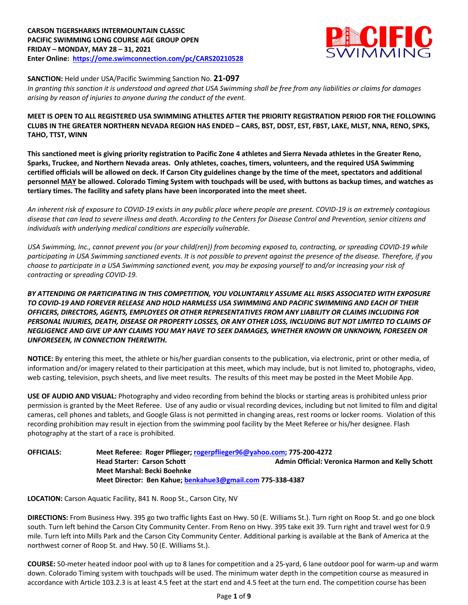## **CARSON TIGERSHARKS INTERMOUNTAIN CLASSIC PACIFIC SWIMMING LONG COURSE AGE GROUP OPEN FRIDAY – MONDAY, MAY 28 – 31, 2021 Enter Online: https://ome.swimconnection.com/pc/CARS20210528**



**SANCTION:** Held under USA/Pacific Swimming Sanction No. **21-097**

*In granting this sanction it is understood and agreed that USA Swimming shall be free from any liabilities or claims for damages arising by reason of injuries to anyone during the conduct of the event.*

## **MEET IS OPEN TO ALL REGISTERED USA SWIMMING ATHLETES AFTER THE PRIORITY REGISTRATION PERIOD FOR THE FOLLOWING CLUBS IN THE GREATER NORTHERN NEVADA REGION HAS ENDED – CARS, BST, DDST, EST, FBST, LAKE, MLST, NNA, RENO, SPKS, TAHO, TTST, WINN**

**This sanctioned meet is giving priority registration to Pacific Zone 4 athletes and Sierra Nevada athletes in the Greater Reno, Sparks, Truckee, and Northern Nevada areas. Only athletes, coaches, timers, volunteers, and the required USA Swimming certified officials will be allowed on deck. If Carson City guidelines change by the time of the meet, spectators and additional personnel MAY be allowed. Colorado Timing System with touchpads will be used, with buttons as backup times, and watches as tertiary times. The facility and safety plans have been incorporated into the meet sheet.** 

*An inherent risk of exposure to COVID-19 exists in any public place where people are present. COVID-19 is an extremely contagious disease that can lead to severe illness and death. According to the Centers for Disease Control and Prevention, senior citizens and individuals with underlying medical conditions are especially vulnerable.* 

*USA Swimming, Inc., cannot prevent you (or your child(ren)) from becoming exposed to, contracting, or spreading COVID-19 while participating in USA Swimming sanctioned events. It is not possible to prevent against the presence of the disease. Therefore, if you choose to participate in a USA Swimming sanctioned event, you may be exposing yourself to and/or increasing your risk of contracting or spreading COVID-19.* 

## *BY ATTENDING OR PARTICIPATING IN THIS COMPETITION, YOU VOLUNTARILY ASSUME ALL RISKS ASSOCIATED WITH EXPOSURE TO COVID-19 AND FOREVER RELEASE AND HOLD HARMLESS USA SWIMMING AND PACIFIC SWIMMING AND EACH OF THEIR OFFICERS, DIRECTORS, AGENTS, EMPLOYEES OR OTHER REPRESENTATIVES FROM ANY LIABILITY OR CLAIMS INCLUDING FOR PERSONAL INJURIES, DEATH, DISEASE OR PROPERTY LOSSES, OR ANY OTHER LOSS, INCLUDING BUT NOT LIMITED TO CLAIMS OF NEGLIGENCE AND GIVE UP ANY CLAIMS YOU MAY HAVE TO SEEK DAMAGES, WHETHER KNOWN OR UNKNOWN, FORESEEN OR UNFORESEEN, IN CONNECTION THEREWITH.*

**NOTICE:** By entering this meet, the athlete or his/her guardian consents to the publication, via electronic, print or other media, of information and/or imagery related to their participation at this meet, which may include, but is not limited to, photographs, video, web casting, television, psych sheets, and live meet results. The results of this meet may be posted in the Meet Mobile App.

**USE OF AUDIO AND VISUAL:** Photography and video recording from behind the blocks or starting areas is prohibited unless prior permission is granted by the Meet Referee. Use of any audio or visual recording devices, including but not limited to film and digital cameras, cell phones and tablets, and Google Glass is not permitted in changing areas, rest rooms or locker rooms. Violation of this recording prohibition may result in ejection from the swimming pool facility by the Meet Referee or his/her designee. Flash photography at the start of a race is prohibited.

## **OFFICIALS: Meet Referee: Roger Pflieger; rogerpflieger96@yahoo.com; 775-200-4272 Head Starter: Carson Schott Admin Official: Veronica Harmon and Kelly Schott Meet Marshal: Becki Boehnke Meet Director: Ben Kahue; benkahue3@gmail.com 775-338-4387**

**LOCATION:** Carson Aquatic Facility, 841 N. Roop St., Carson City, NV

**DIRECTIONS:** From Business Hwy. 395 go two traffic lights East on Hwy. 50 (E. Williams St.). Turn right on Roop St. and go one block south. Turn left behind the Carson City Community Center. From Reno on Hwy. 395 take exit 39. Turn right and travel west for 0.9 mile. Turn left into Mills Park and the Carson City Community Center. Additional parking is available at the Bank of America at the northwest corner of Roop St. and Hwy. 50 (E. Williams St.).

**COURSE:** 50-meter heated indoor pool with up to 8 lanes for competition and a 25-yard, 6 lane outdoor pool for warm-up and warm down. Colorado Timing system with touchpads will be used. The minimum water depth in the competition course as measured in accordance with Article 103.2.3 is at least 4.5 feet at the start end and 4.5 feet at the turn end. The competition course has been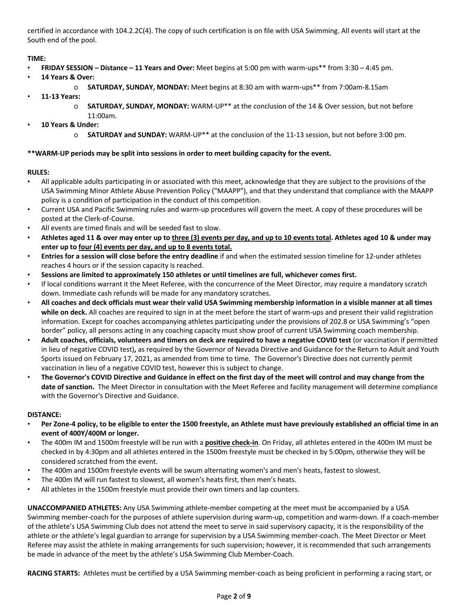certified in accordance with 104.2.2C(4). The copy of such certification is on file with USA Swimming. All events will start at the South end of the pool.

# **TIME:**

- **FRIDAY SESSION – Distance – 11 Years and Over:** Meet begins at 5:00 pm with warm-ups\*\* from 3:30 4:45 pm.
- **14 Years & Over:**
	- o **SATURDAY, SUNDAY, MONDAY:** Meet begins at 8:30 am with warm-ups\*\* from 7:00am-8.15am
- **11-13 Years:**
	- o **SATURDAY, SUNDAY, MONDAY:** WARM-UP\*\* at the conclusion of the 14 & Over session, but not before 11:00am.
- **10 Years & Under:**
	- o **SATURDAY and SUNDAY:** WARM-UP\*\* at the conclusion of the 11-13 session, but not before 3:00 pm.

## **\*\*WARM-UP periods may be split into sessions in order to meet building capacity for the event.**

## **RULES:**

- All applicable adults participating in or associated with this meet, acknowledge that they are subject to the provisions of the USA Swimming Minor Athlete Abuse Prevention Policy ("MAAPP"), and that they understand that compliance with the MAAPP policy is a condition of participation in the conduct of this competition.
- Current USA and Pacific Swimming rules and warm-up procedures will govern the meet. A copy of these procedures will be posted at the Clerk-of-Course.
- All events are timed finals and will be seeded fast to slow.
- **Athletes aged 11 & over may enter up to three (3) events per day, and up to 10 events total. Athletes aged 10 & under may enter up to four (4) events per day, and up to 8 events total.**
- **Entries for a session will close before the entry deadline** if and when the estimated session timeline for 12-under athletes reaches 4 hours or if the session capacity is reached.
- **Sessions are limited to approximately 150 athletes or until timelines are full, whichever comes first.**
- If local conditions warrant it the Meet Referee, with the concurrence of the Meet Director, may require a mandatory scratch down. Immediate cash refunds will be made for any mandatory scratches.
- **All coaches and deck officials must wear their valid USA Swimming membership information in a visible manner at all times while on deck.** All coaches are required to sign in at the meet before the start of warm-ups and present their valid registration information. Except for coaches accompanying athletes participating under the provisions of 202.8 or USA Swimming's "open border" policy, all persons acting in any coaching capacity must show proof of current USA Swimming coach membership.
- **Adult coaches, officials, volunteers and timers on deck are required to have a negative COVID test** (or vaccination if permitted in lieu of negative COVID test)**,** as required by the Governor of Nevada Directive and Guidance for the Return to Adult and Youth Sports issued on February 17, 2021, as amended from time to time. The Governor's Directive does not currently permit vaccination in lieu of a negative COVID test, however this is subject to change.
- **The Governor's COVID Directive and Guidance in effect on the first day of the meet will control and may change from the date of sanction.** The Meet Director in consultation with the Meet Referee and facility management will determine compliance with the Governor's Directive and Guidance.

## **DISTANCE:**

- **Per Zone-4 policy, to be eligible to enter the 1500 freestyle, an Athlete must have previously established an official time in an event of 400Y/400M or longer.**
- The 400m IM and 1500m freestyle will be run with a **positive check-in**. On Friday, all athletes entered in the 400m IM must be checked in by 4:30pm and all athletes entered in the 1500m freestyle must be checked in by 5:00pm, otherwise they will be considered scratched from the event.
- The 400m and 1500m freestyle events will be swum alternating women's and men's heats, fastest to slowest.
- The 400m IM will run fastest to slowest, all women's heats first, then men's heats.
- All athletes in the 1500m freestyle must provide their own timers and lap counters.

**UNACCOMPANIED ATHLETES:** Any USA Swimming athlete-member competing at the meet must be accompanied by a USA Swimming member-coach for the purposes of athlete supervision during warm-up, competition and warm-down. If a coach-member of the athlete's USA Swimming Club does not attend the meet to serve in said supervisory capacity, it is the responsibility of the athlete or the athlete's legal guardian to arrange for supervision by a USA Swimming member-coach. The Meet Director or Meet Referee may assist the athlete in making arrangements for such supervision; however, it is recommended that such arrangements be made in advance of the meet by the athlete's USA Swimming Club Member-Coach.

**RACING STARTS:** Athletes must be certified by a USA Swimming member-coach as being proficient in performing a racing start, or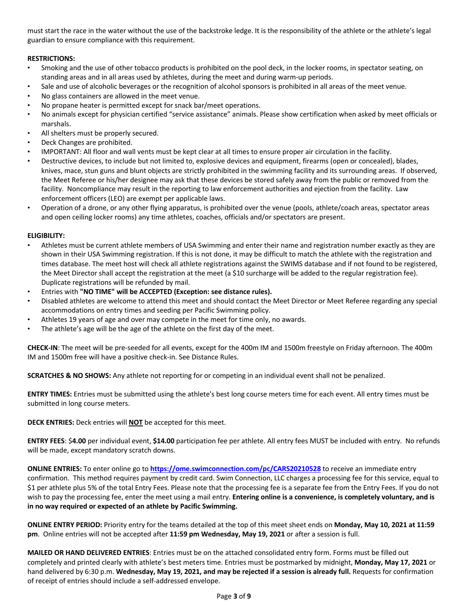must start the race in the water without the use of the backstroke ledge. It is the responsibility of the athlete or the athlete's legal guardian to ensure compliance with this requirement.

## **RESTRICTIONS:**

- Smoking and the use of other tobacco products is prohibited on the pool deck, in the locker rooms, in spectator seating, on standing areas and in all areas used by athletes, during the meet and during warm-up periods.
- Sale and use of alcoholic beverages or the recognition of alcohol sponsors is prohibited in all areas of the meet venue.
- No glass containers are allowed in the meet venue.
- No propane heater is permitted except for snack bar/meet operations.
- No animals except for physician certified "service assistance" animals. Please show certification when asked by meet officials or marshals.
- All shelters must be properly secured.
- Deck Changes are prohibited.
- IMPORTANT: All floor and wall vents must be kept clear at all times to ensure proper air circulation in the facility.
- Destructive devices, to include but not limited to, explosive devices and equipment, firearms (open or concealed), blades, knives, mace, stun guns and blunt objects are strictly prohibited in the swimming facility and its surrounding areas. If observed, the Meet Referee or his/her designee may ask that these devices be stored safely away from the public or removed from the facility. Noncompliance may result in the reporting to law enforcement authorities and ejection from the facility. Law enforcement officers (LEO) are exempt per applicable laws.
- Operation of a drone, or any other flying apparatus, is prohibited over the venue (pools, athlete/coach areas, spectator areas and open ceiling locker rooms) any time athletes, coaches, officials and/or spectators are present.

#### **ELIGIBILITY:**

- Athletes must be current athlete members of USA Swimming and enter their name and registration number exactly as they are shown in their USA Swimming registration. If this is not done, it may be difficult to match the athlete with the registration and times database. The meet host will check all athlete registrations against the SWIMS database and if not found to be registered, the Meet Director shall accept the registration at the meet (a \$10 surcharge will be added to the regular registration fee). Duplicate registrations will be refunded by mail.
- Entries with **"NO TIME" will be ACCEPTED (Exception: see distance rules).**
- Disabled athletes are welcome to attend this meet and should contact the Meet Director or Meet Referee regarding any special accommodations on entry times and seeding per Pacific Swimming policy.
- Athletes 19 years of age and over may compete in the meet for time only, no awards.
- The athlete's age will be the age of the athlete on the first day of the meet.

**CHECK-IN**: The meet will be pre-seeded for all events, except for the 400m IM and 1500m freestyle on Friday afternoon. The 400m IM and 1500m free will have a positive check-in. See Distance Rules.

**SCRATCHES & NO SHOWS:** Any athlete not reporting for or competing in an individual event shall not be penalized.

**ENTRY TIMES:** Entries must be submitted using the athlete's best long course meters time for each event. All entry times must be submitted in long course meters.

**DECK ENTRIES:** Deck entries will **NOT** be accepted for this meet.

**ENTRY FEES**: \$**4.00** per individual event, **\$14.00** participation fee per athlete. All entry fees MUST be included with entry. No refunds will be made, except mandatory scratch downs.

**ONLINE ENTRIES:** To enter online go to **https://ome.swimconnection.com/pc/CARS20210528** to receive an immediate entry confirmation. This method requires payment by credit card. Swim Connection, LLC charges a processing fee for this service, equal to \$1 per athlete plus 5% of the total Entry Fees. Please note that the processing fee is a separate fee from the Entry Fees. If you do not wish to pay the processing fee, enter the meet using a mail entry. **Entering online is a convenience, is completely voluntary, and is in no way required or expected of an athlete by Pacific Swimming.** 

**ONLINE ENTRY PERIOD:** Priority entry for the teams detailed at the top of this meet sheet ends on **Monday, May 10, 2021 at 11:59 pm**. Online entries will not be accepted after **11:59 pm Wednesday, May 19, 2021** or after a session is full.

**MAILED OR HAND DELIVERED ENTRIES**: Entries must be on the attached consolidated entry form. Forms must be filled out completely and printed clearly with athlete's best meters time. Entries must be postmarked by midnight, **Monday, May 17, 2021** or hand delivered by 6:30 p.m. **Wednesday, May 19, 2021, and may be rejected if a session is already full.** Requests for confirmation of receipt of entries should include a self-addressed envelope.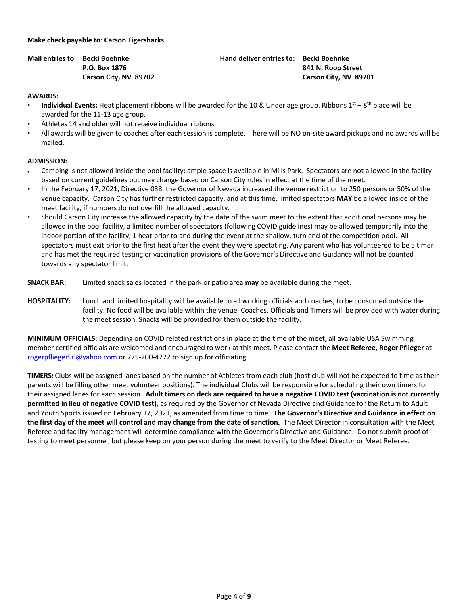#### **Make check payable to**: **Carson Tigersharks**

**Mail entries to**: **Becki Boehnke Hand deliver entries to: Becki Boehnke P.O. Box 1876 841 N. Roop Street Carson City, NV 89702 Carson City, NV 89701**

#### **AWARDS:**

- **Individual Events:** Heat placement ribbons will be awarded for the 10 & Under age group. Ribbons  $1^{st} 8^{th}$  place will be awarded for the 11-13 age group.
- Athletes 14 and older will not receive individual ribbons.
- All awards will be given to coaches after each session is complete. There will be NO on-site award pickups and no awards will be mailed.

#### **ADMISSION:**

- Camping is not allowed inside the pool facility; ample space is available in Mills Park. Spectators are not allowed in the facility based on current guidelines but may change based on Carson City rules in effect at the time of the meet.
- In the February 17, 2021, Directive 038, the Governor of Nevada increased the venue restriction to 250 persons or 50% of the venue capacity. Carson City has further restricted capacity, and at this time, limited spectators **MAY** be allowed inside of the meet facility, if numbers do not overfill the allowed capacity.
- Should Carson City increase the allowed capacity by the date of the swim meet to the extent that additional persons may be allowed in the pool facility, a limited number of spectators (following COVID guidelines) may be allowed temporarily into the indoor portion of the facility, 1 heat prior to and during the event at the shallow, turn end of the competition pool. All spectators must exit prior to the first heat after the event they were spectating. Any parent who has volunteered to be a timer and has met the required testing or vaccination provisions of the Governor's Directive and Guidance will not be counted towards any spectator limit.
- **SNACK BAR:** Limited snack sales located in the park or patio area **may** be available during the meet.
- **HOSPITALITY:** Lunch and limited hospitality will be available to all working officials and coaches, to be consumed outside the facility. No food will be available within the venue. Coaches, Officials and Timers will be provided with water during the meet session. Snacks will be provided for them outside the facility.

**MINIMUM OFFICIALS:** Depending on COVID related restrictions in place at the time of the meet, all available USA Swimming member certified officials are welcomed and encouraged to work at this meet. Please contact the **Meet Referee, Roger Pflieger** at rogerpflieger96@yahoo.com or 775-200-4272 to sign up for officiating.

**TIMERS:** Clubs will be assigned lanes based on the number of Athletes from each club (host club will not be expected to time as their parents will be filling other meet volunteer positions). The individual Clubs will be responsible for scheduling their own timers for their assigned lanes for each session. **Adult timers on deck are required to have a negative COVID test (vaccination is not currently permitted in lieu of negative COVID test),** as required by the Governor of Nevada Directive and Guidance for the Return to Adult and Youth Sports issued on February 17, 2021, as amended from time to time. **The Governor's Directive and Guidance in effect on the first day of the meet will control and may change from the date of sanction.** The Meet Director in consultation with the Meet Referee and facility management will determine compliance with the Governor's Directive and Guidance. Do not submit proof of testing to meet personnel, but please keep on your person during the meet to verify to the Meet Director or Meet Referee.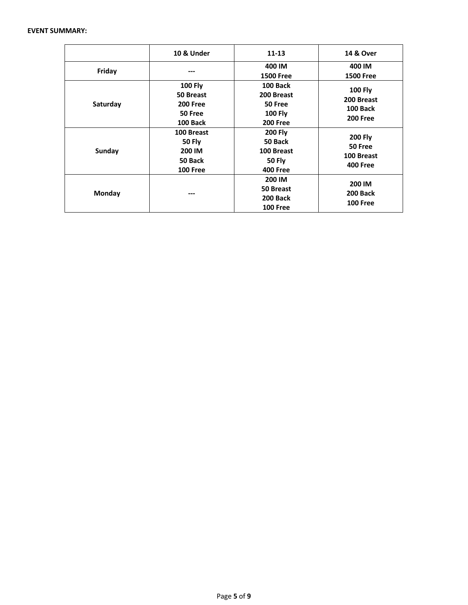#### **EVENT SUMMARY:**

|          | 10 & Under                                                                   | $11 - 13$                                                                   | <b>14 &amp; Over</b>                                               |
|----------|------------------------------------------------------------------------------|-----------------------------------------------------------------------------|--------------------------------------------------------------------|
| Friday   | ---                                                                          | 400 IM<br><b>1500 Free</b>                                                  | 400 IM<br><b>1500 Free</b>                                         |
| Saturday | <b>100 Fly</b><br>50 Breast<br><b>200 Free</b><br>50 Free<br><b>100 Back</b> | 100 Back<br>200 Breast<br>50 Free<br><b>100 Fly</b><br><b>200 Free</b>      | <b>100 Fly</b><br>200 Breast<br><b>100 Back</b><br><b>200 Free</b> |
| Sunday   | 100 Breast<br><b>50 Fly</b><br>200 IM<br>50 Back<br><b>100 Free</b>          | <b>200 Fly</b><br>50 Back<br>100 Breast<br><b>50 Fly</b><br><b>400 Free</b> | <b>200 Fly</b><br>50 Free<br>100 Breast<br><b>400 Free</b>         |
| Monday   | ---                                                                          | 200 IM<br>50 Breast<br><b>200 Back</b><br><b>100 Free</b>                   | 200 IM<br>200 Back<br><b>100 Free</b>                              |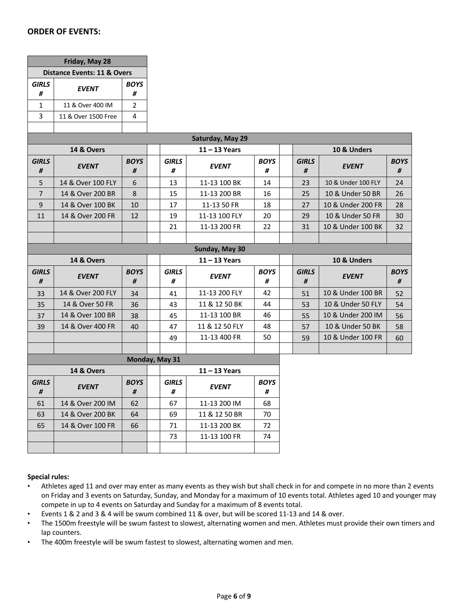# **ORDER OF EVENTS:**

| Friday, May 28                              |                     |                  |                   |                  |                  |                   |  |                    |                  |  |
|---------------------------------------------|---------------------|------------------|-------------------|------------------|------------------|-------------------|--|--------------------|------------------|--|
| Distance Events: 11 & Overs                 |                     |                  |                   |                  |                  |                   |  |                    |                  |  |
| <b>GIRLS</b><br><b>BOYS</b><br><b>EVENT</b> |                     |                  |                   |                  |                  |                   |  |                    |                  |  |
| #                                           |                     | #                |                   |                  |                  |                   |  |                    |                  |  |
| $\mathbf{1}$                                | 11 & Over 400 IM    | 2                |                   |                  |                  |                   |  |                    |                  |  |
| 3                                           | 11 & Over 1500 Free | 4                |                   |                  |                  |                   |  |                    |                  |  |
|                                             |                     |                  |                   |                  |                  |                   |  |                    |                  |  |
|                                             |                     |                  |                   | Saturday, May 29 |                  |                   |  |                    |                  |  |
| 14 & Overs                                  |                     |                  |                   | $11 - 13$ Years  |                  | 10 & Unders       |  |                    |                  |  |
| <b>GIRLS</b><br>#                           | <b>EVENT</b>        | <b>BOYS</b><br># | <b>GIRLS</b><br># | <b>EVENT</b>     | <b>BOYS</b><br># | <b>GIRLS</b><br># |  | <b>EVENT</b>       | <b>BOYS</b><br># |  |
| 5                                           | 14 & Over 100 FLY   | 6                | 13                | 11-13 100 BK     | 14               | 23                |  | 10 & Under 100 FLY | 24               |  |
| $\overline{7}$                              | 14 & Over 200 BR    | $\,8\,$          | 15                | 11-13 200 BR     | 16               | 25                |  | 10 & Under 50 BR   | 26               |  |
| 9                                           | 14 & Over 100 BK    | 10               | 17                | 11-13 50 FR      | 18               | 27                |  | 10 & Under 200 FR  | 28               |  |
| 11                                          | 14 & Over 200 FR    | 12               | 19                | 11-13 100 FLY    | 20               | 29                |  | 10 & Under 50 FR   | 30               |  |
|                                             |                     |                  | 21                | 11-13 200 FR     | 22               | 31                |  | 10 & Under 100 BK  | 32               |  |
|                                             |                     |                  |                   |                  |                  |                   |  |                    |                  |  |
|                                             |                     |                  |                   | Sunday, May 30   |                  |                   |  |                    |                  |  |
| 14 & Overs                                  |                     |                  |                   |                  |                  | 10 & Unders       |  |                    |                  |  |
|                                             |                     |                  |                   | $11 - 13$ Years  |                  |                   |  |                    |                  |  |
| <b>GIRLS</b><br>#                           | <b>EVENT</b>        | <b>BOYS</b><br># | <b>GIRLS</b><br># | <b>EVENT</b>     | <b>BOYS</b><br># | <b>GIRLS</b><br># |  | <b>EVENT</b>       | <b>BOYS</b><br># |  |
| 33                                          | 14 & Over 200 FLY   | 34               | 41                | 11-13 200 FLY    | 42               | 51                |  | 10 & Under 100 BR  | 52               |  |
| 35                                          | 14 & Over 50 FR     | 36               | 43                | 11 & 12 50 BK    | 44               | 53                |  | 10 & Under 50 FLY  | 54               |  |
| 37                                          | 14 & Over 100 BR    | 38               | 45                | 11-13 100 BR     | 46               | 55                |  | 10 & Under 200 IM  | 56               |  |
| 39                                          | 14 & Over 400 FR    | 40               | 47                | 11 & 12 50 FLY   | 48               | 57                |  | 10 & Under 50 BK   | 58               |  |
|                                             |                     |                  | 49                | 11-13 400 FR     | 50               | 59                |  | 10 & Under 100 FR  | 60               |  |
|                                             |                     |                  |                   |                  |                  |                   |  |                    |                  |  |
|                                             |                     |                  | Monday, May 31    |                  |                  |                   |  |                    |                  |  |
|                                             | 14 & Overs          |                  |                   | $11 - 13$ Years  |                  |                   |  |                    |                  |  |
| <b>GIRLS</b>                                |                     | <b>BOYS</b>      | <b>GIRLS</b>      |                  | <b>BOYS</b>      |                   |  |                    |                  |  |
| #                                           | <b>EVENT</b>        | #                | #                 | <b>EVENT</b>     | #                |                   |  |                    |                  |  |
| 61                                          | 14 & Over 200 IM    | 62               | 67                | 11-13 200 IM     | 68               |                   |  |                    |                  |  |
| 63                                          | 14 & Over 200 BK    | 64               | 69                | 11 & 12 50 BR    | 70               |                   |  |                    |                  |  |
| 65                                          | 14 & Over 100 FR    | 66               | 71                | 11-13 200 BK     | 72               |                   |  |                    |                  |  |
|                                             |                     |                  | 73                | 11-13 100 FR     | 74               |                   |  |                    |                  |  |

## **Special rules:**

- Athletes aged 11 and over may enter as many events as they wish but shall check in for and compete in no more than 2 events on Friday and 3 events on Saturday, Sunday, and Monday for a maximum of 10 events total. Athletes aged 10 and younger may compete in up to 4 events on Saturday and Sunday for a maximum of 8 events total.
- Events 1 & 2 and 3 & 4 will be swum combined 11 & over, but will be scored 11-13 and 14 & over.
- The 1500m freestyle will be swum fastest to slowest, alternating women and men. Athletes must provide their own timers and lap counters.
- The 400m freestyle will be swum fastest to slowest, alternating women and men.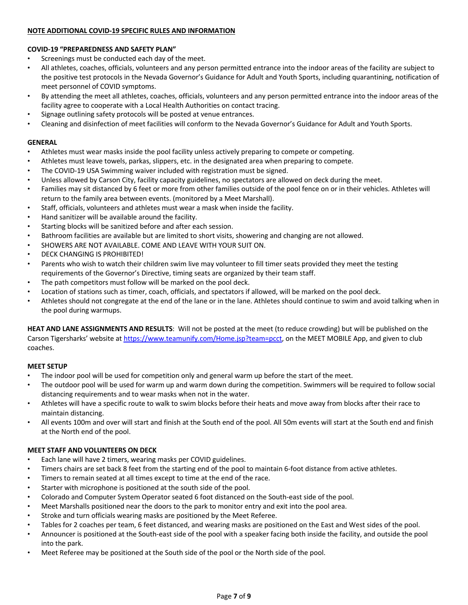## **NOTE ADDITIONAL COVID-19 SPECIFIC RULES AND INFORMATION**

# **COVID-19 "PREPAREDNESS AND SAFETY PLAN"**

- Screenings must be conducted each day of the meet.
- All athletes, coaches, officials, volunteers and any person permitted entrance into the indoor areas of the facility are subject to the positive test protocols in the Nevada Governor's Guidance for Adult and Youth Sports, including quarantining, notification of meet personnel of COVID symptoms.
- By attending the meet all athletes, coaches, officials, volunteers and any person permitted entrance into the indoor areas of the facility agree to cooperate with a Local Health Authorities on contact tracing.
- Signage outlining safety protocols will be posted at venue entrances.
- Cleaning and disinfection of meet facilities will conform to the Nevada Governor's Guidance for Adult and Youth Sports.

## **GENERAL**

- Athletes must wear masks inside the pool facility unless actively preparing to compete or competing.
- Athletes must leave towels, parkas, slippers, etc. in the designated area when preparing to compete.
- The COVID-19 USA Swimming waiver included with registration must be signed.
- Unless allowed by Carson City, facility capacity guidelines, no spectators are allowed on deck during the meet.
- Families may sit distanced by 6 feet or more from other families outside of the pool fence on or in their vehicles. Athletes will return to the family area between events. (monitored by a Meet Marshall).
- Staff, officials, volunteers and athletes must wear a mask when inside the facility.
- Hand sanitizer will be available around the facility.
- Starting blocks will be sanitized before and after each session.
- Bathroom facilities are available but are limited to short visits, showering and changing are not allowed.
- SHOWERS ARE NOT AVAILABLE. COME AND LEAVE WITH YOUR SUIT ON.
- DECK CHANGING IS PROHIBITED!
- Parents who wish to watch their children swim live may volunteer to fill timer seats provided they meet the testing requirements of the Governor's Directive, timing seats are organized by their team staff.
- The path competitors must follow will be marked on the pool deck.
- Location of stations such as timer, coach, officials, and spectators if allowed, will be marked on the pool deck.
- Athletes should not congregate at the end of the lane or in the lane. Athletes should continue to swim and avoid talking when in the pool during warmups.

**HEAT AND LANE ASSIGNMENTS AND RESULTS**: Will not be posted at the meet (to reduce crowding) but will be published on the Carson Tigersharks' website at https://www.teamunify.com/Home.jsp?team=pcct, on the MEET MOBILE App, and given to club coaches.

## **MEET SETUP**

- The indoor pool will be used for competition only and general warm up before the start of the meet.
- The outdoor pool will be used for warm up and warm down during the competition. Swimmers will be required to follow social distancing requirements and to wear masks when not in the water.
- Athletes will have a specific route to walk to swim blocks before their heats and move away from blocks after their race to maintain distancing.
- All events 100m and over will start and finish at the South end of the pool. All 50m events will start at the South end and finish at the North end of the pool.

# **MEET STAFF AND VOLUNTEERS ON DECK**

- Each lane will have 2 timers, wearing masks per COVID guidelines.
- Timers chairs are set back 8 feet from the starting end of the pool to maintain 6-foot distance from active athletes.
- Timers to remain seated at all times except to time at the end of the race.
- Starter with microphone is positioned at the south side of the pool.
- Colorado and Computer System Operator seated 6 foot distanced on the South-east side of the pool.
- Meet Marshalls positioned near the doors to the park to monitor entry and exit into the pool area.
- Stroke and turn officials wearing masks are positioned by the Meet Referee.
- Tables for 2 coaches per team, 6 feet distanced, and wearing masks are positioned on the East and West sides of the pool.
- Announcer is positioned at the South-east side of the pool with a speaker facing both inside the facility, and outside the pool into the park.
- Meet Referee may be positioned at the South side of the pool or the North side of the pool.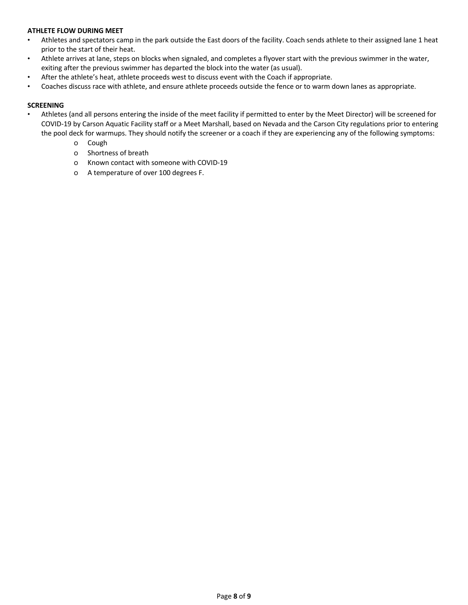## **ATHLETE FLOW DURING MEET**

- Athletes and spectators camp in the park outside the East doors of the facility. Coach sends athlete to their assigned lane 1 heat prior to the start of their heat.
- Athlete arrives at lane, steps on blocks when signaled, and completes a flyover start with the previous swimmer in the water, exiting after the previous swimmer has departed the block into the water (as usual).
- After the athlete's heat, athlete proceeds west to discuss event with the Coach if appropriate.
- Coaches discuss race with athlete, and ensure athlete proceeds outside the fence or to warm down lanes as appropriate.

## **SCREENING**

- Athletes (and all persons entering the inside of the meet facility if permitted to enter by the Meet Director) will be screened for COVID-19 by Carson Aquatic Facility staff or a Meet Marshall, based on Nevada and the Carson City regulations prior to entering the pool deck for warmups. They should notify the screener or a coach if they are experiencing any of the following symptoms:
	- o Cough
	- o Shortness of breath
	- o Known contact with someone with COVID-19
	- o A temperature of over 100 degrees F.